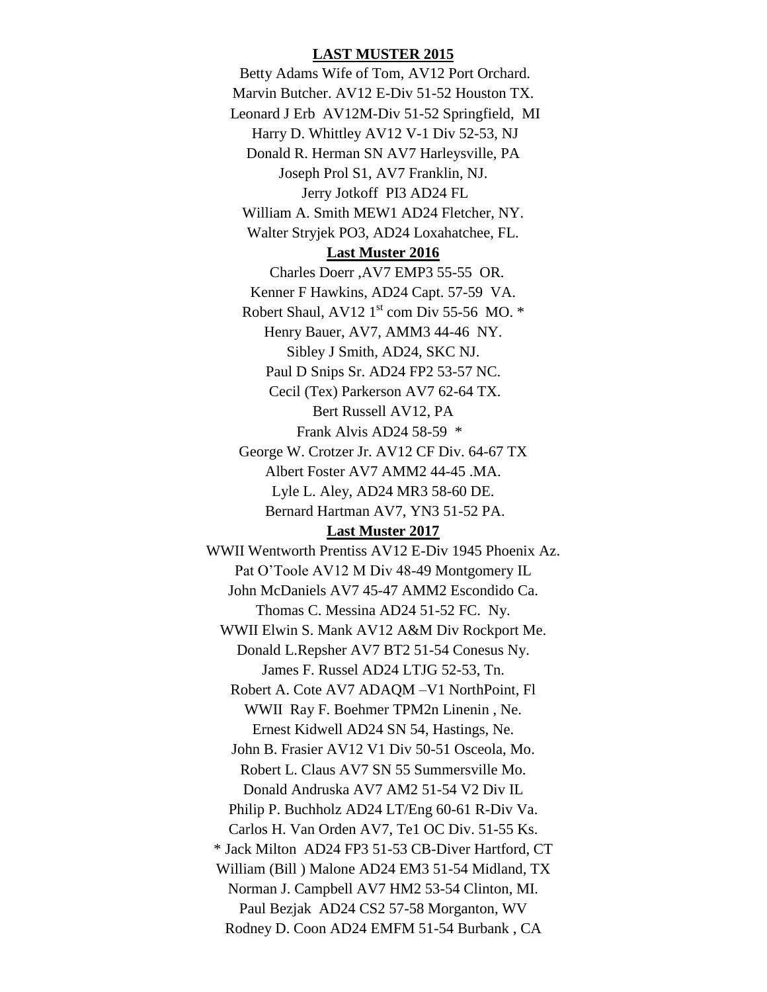# **LAST MUSTER 2015**

Betty Adams Wife of Tom, AV12 Port Orchard. Marvin Butcher. AV12 E-Div 51-52 Houston TX. Leonard J Erb AV12M-Div 51-52 Springfield, MI Harry D. Whittley AV12 V-1 Div 52-53, NJ Donald R. Herman SN AV7 Harleysville, PA Joseph Prol S1, AV7 Franklin, NJ. Jerry Jotkoff PI3 AD24 FL William A. Smith MEW1 AD24 Fletcher, NY. Walter Stryjek PO3, AD24 Loxahatchee, FL. **Last Muster 2016** Charles Doerr ,AV7 EMP3 55-55 OR. Kenner F Hawkins, AD24 Capt. 57-59 VA. Robert Shaul,  $AV12 1<sup>st</sup>$  com Div 55-56 MO.  $*$ Henry Bauer, AV7, AMM3 44-46 NY. Sibley J Smith, AD24, SKC NJ. Paul D Snips Sr. AD24 FP2 53-57 NC. Cecil (Tex) Parkerson AV7 62-64 TX. Bert Russell AV12, PA Frank Alvis AD24 58-59 \* George W. Crotzer Jr. AV12 CF Div. 64-67 TX Albert Foster AV7 AMM2 44-45 .MA. Lyle L. Aley, AD24 MR3 58-60 DE. Bernard Hartman AV7, YN3 51-52 PA.

# **Last Muster 2017**

WWII Wentworth Prentiss AV12 E-Div 1945 Phoenix Az. Pat O'Toole AV12 M Div 48-49 Montgomery IL John McDaniels AV7 45-47 AMM2 Escondido Ca. Thomas C. Messina AD24 51-52 FC. Ny. WWII Elwin S. Mank AV12 A&M Div Rockport Me. Donald L.Repsher AV7 BT2 51-54 Conesus Ny. James F. Russel AD24 LTJG 52-53, Tn. Robert A. Cote AV7 ADAQM –V1 NorthPoint, Fl WWII Ray F. Boehmer TPM2n Linenin , Ne. Ernest Kidwell AD24 SN 54, Hastings, Ne. John B. Frasier AV12 V1 Div 50-51 Osceola, Mo. Robert L. Claus AV7 SN 55 Summersville Mo. Donald Andruska AV7 AM2 51-54 V2 Div IL Philip P. Buchholz AD24 LT/Eng 60-61 R-Div Va. Carlos H. Van Orden AV7, Te1 OC Div. 51-55 Ks. \* Jack Milton AD24 FP3 51-53 CB-Diver Hartford, CT William (Bill ) Malone AD24 EM3 51-54 Midland, TX Norman J. Campbell AV7 HM2 53-54 Clinton, MI. Paul Bezjak AD24 CS2 57-58 Morganton, WV Rodney D. Coon AD24 EMFM 51-54 Burbank , CA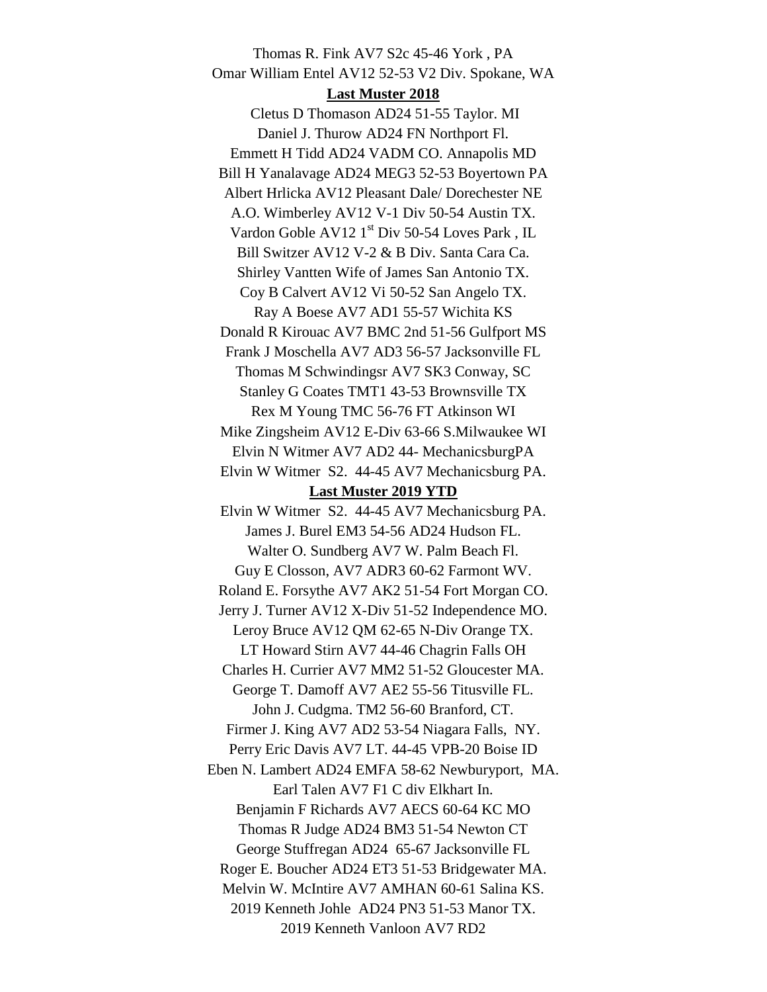Thomas R. Fink AV7 S2c 45-46 York , PA Omar William Entel AV12 52-53 V2 Div. Spokane, WA **Last Muster 2018** Cletus D Thomason AD24 51-55 Taylor. MI Daniel J. Thurow AD24 FN Northport Fl. Emmett H Tidd AD24 VADM CO. Annapolis MD Bill H Yanalavage AD24 MEG3 52-53 Boyertown PA Albert Hrlicka AV12 Pleasant Dale/ Dorechester NE A.O. Wimberley AV12 V-1 Div 50-54 Austin TX. Vardon Goble AV12 1<sup>st</sup> Div 50-54 Loves Park, IL Bill Switzer AV12 V-2 & B Div. Santa Cara Ca. Shirley Vantten Wife of James San Antonio TX. Coy B Calvert AV12 Vi 50-52 San Angelo TX. Ray A Boese AV7 AD1 55-57 Wichita KS Donald R Kirouac AV7 BMC 2nd 51-56 Gulfport MS Frank J Moschella AV7 AD3 56-57 Jacksonville FL Thomas M Schwindingsr AV7 SK3 Conway, SC Stanley G Coates TMT1 43-53 Brownsville TX Rex M Young TMC 56-76 FT Atkinson WI Mike Zingsheim AV12 E-Div 63-66 S.Milwaukee WI Elvin N Witmer AV7 AD2 44- MechanicsburgPA Elvin W Witmer S2. 44-45 AV7 Mechanicsburg PA. **Last Muster 2019 YTD** Elvin W Witmer S2. 44-45 AV7 Mechanicsburg PA. James J. Burel EM3 54-56 AD24 Hudson FL. Walter O. Sundberg AV7 W. Palm Beach Fl. Guy E Closson, AV7 ADR3 60-62 Farmont WV. Roland E. Forsythe AV7 AK2 51-54 Fort Morgan CO. Jerry J. Turner AV12 X-Div 51-52 Independence MO. Leroy Bruce AV12 QM 62-65 N-Div Orange TX. LT Howard Stirn AV7 44-46 Chagrin Falls OH Charles H. Currier AV7 MM2 51-52 Gloucester MA. George T. Damoff AV7 AE2 55-56 Titusville FL. John J. Cudgma. TM2 56-60 Branford, CT. Firmer J. King AV7 AD2 53-54 Niagara Falls, NY. Perry Eric Davis AV7 LT. 44-45 VPB-20 Boise ID Eben N. Lambert AD24 EMFA 58-62 Newburyport, MA. Earl Talen AV7 F1 C div Elkhart In. Benjamin F Richards AV7 AECS 60-64 KC MO Thomas R Judge AD24 BM3 51-54 Newton CT George Stuffregan AD24 65-67 Jacksonville FL Roger E. Boucher AD24 ET3 51-53 Bridgewater MA. Melvin W. McIntire AV7 AMHAN 60-61 Salina KS. 2019 Kenneth Johle AD24 PN3 51-53 Manor TX. 2019 Kenneth Vanloon AV7 RD2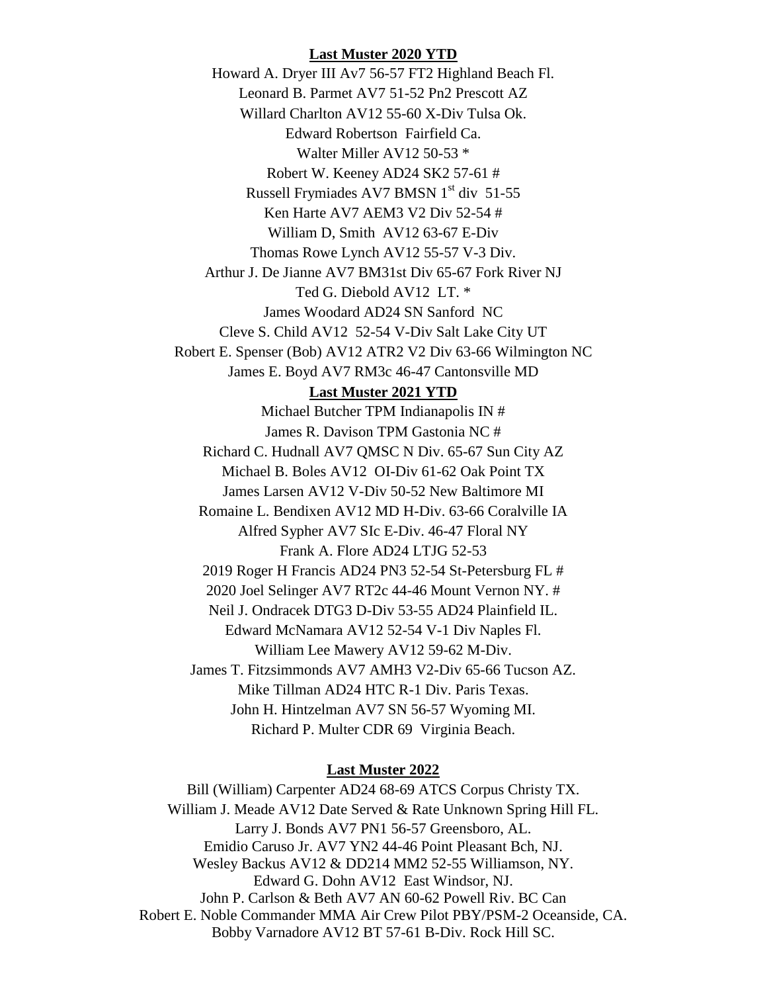## **Last Muster 2020 YTD**

Howard A. Dryer III Av7 56-57 FT2 Highland Beach Fl. Leonard B. Parmet AV7 51-52 Pn2 Prescott AZ Willard Charlton AV12 55-60 X-Div Tulsa Ok. Edward Robertson Fairfield Ca. Walter Miller AV12 50-53 \* Robert W. Keeney AD24 SK2 57-61 # Russell Frymiades AV7 BMSN 1<sup>st</sup> div 51-55 Ken Harte AV7 AEM3 V2 Div 52-54 # William D, Smith AV12 63-67 E-Div Thomas Rowe Lynch AV12 55-57 V-3 Div. Arthur J. De Jianne AV7 BM31st Div 65-67 Fork River NJ Ted G. Diebold AV12 LT. \* James Woodard AD24 SN Sanford NC Cleve S. Child AV12 52-54 V-Div Salt Lake City UT Robert E. Spenser (Bob) AV12 ATR2 V2 Div 63-66 Wilmington NC James E. Boyd AV7 RM3c 46-47 Cantonsville MD

#### **Last Muster 2021 YTD**

Michael Butcher TPM Indianapolis IN # James R. Davison TPM Gastonia NC # Richard C. Hudnall AV7 QMSC N Div. 65-67 Sun City AZ Michael B. Boles AV12 OI-Div 61-62 Oak Point TX James Larsen AV12 V-Div 50-52 New Baltimore MI Romaine L. Bendixen AV12 MD H-Div. 63-66 Coralville IA Alfred Sypher AV7 SIc E-Div. 46-47 Floral NY Frank A. Flore AD24 LTJG 52-53 2019 Roger H Francis AD24 PN3 52-54 St-Petersburg FL # 2020 Joel Selinger AV7 RT2c 44-46 Mount Vernon NY. # Neil J. Ondracek DTG3 D-Div 53-55 AD24 Plainfield IL. Edward McNamara AV12 52-54 V-1 Div Naples Fl. William Lee Mawery AV12 59-62 M-Div. James T. Fitzsimmonds AV7 AMH3 V2-Div 65-66 Tucson AZ. Mike Tillman AD24 HTC R-1 Div. Paris Texas. John H. Hintzelman AV7 SN 56-57 Wyoming MI. Richard P. Multer CDR 69 Virginia Beach.

# **Last Muster 2022**

Bill (William) Carpenter AD24 68-69 ATCS Corpus Christy TX. William J. Meade AV12 Date Served & Rate Unknown Spring Hill FL. Larry J. Bonds AV7 PN1 56-57 Greensboro, AL. Emidio Caruso Jr. AV7 YN2 44-46 Point Pleasant Bch, NJ. Wesley Backus AV12 & DD214 MM2 52-55 Williamson, NY. Edward G. Dohn AV12 East Windsor, NJ. John P. Carlson & Beth AV7 AN 60-62 Powell Riv. BC Can Robert E. Noble Commander MMA Air Crew Pilot PBY/PSM-2 Oceanside, CA. Bobby Varnadore AV12 BT 57-61 B-Div. Rock Hill SC.